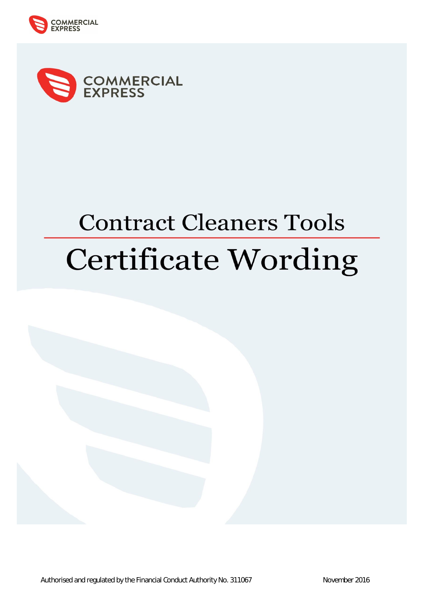



# **Contract Cleaners Tools Certificate Wording**

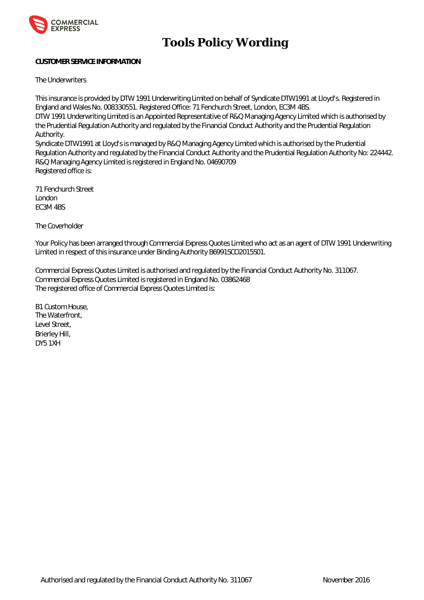

# **Tools Policy Wording**

# **CUSTOMER SERVICE INFORMATION**

The Underwriters

This insurance is provided by DTW 1991 Underwriting Limited on behalf of Syndicate DTW1991 at Lloyd's. Registered in England and Wales No. 008330551. Registered Office: 71 Fenchurch Street, London, EC3M 4BS.

DTW 1991 Underwriting Limited is an Appointed Representative of R&Q Managing Agency Limited which is authorised by the Prudential Regulation Authority and regulated by the Financial Conduct Authority and the Prudential Regulation Authority.

Syndicate DTW1991 at Lloyd's is managed by R&Q Managing Agency Limited which is authorised by the Prudential Regulation Authority and regulated by the Financial Conduct Authority and the Prudential Regulation Authority No: 224442. R&Q Managing Agency Limited is registered in England No. 04690709 Registered office is:

71 Fenchurch Street London EC3M 4BS

The Coverholder

Your Policy has been arranged through Commercial Express Quotes Limited who act as an agent of DTW 1991 Underwriting Limited in respect of this insurance under Binding Authority B6991SCO2015S01.

Commercial Express Quotes Limited is authorised and regulated by the Financial Conduct Authority No. 311067. Commercial Express Quotes Limited is registered in England No. 03862468 The registered office of Commercial Express Quotes Limited is:

B1 Custom House, The Waterfront, Level Street, Brierley Hill, DY5 1XH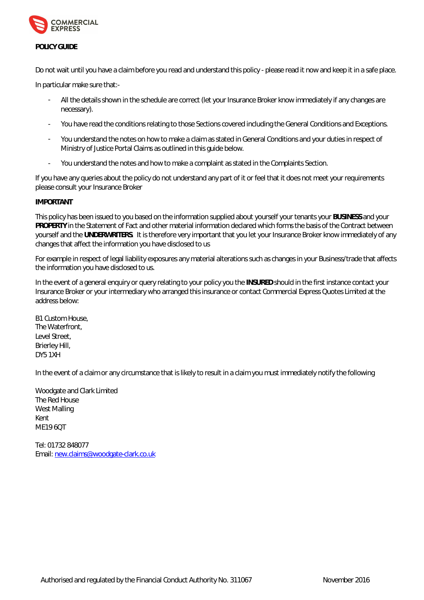

# **POLICY GUIDE**

Do not wait until you have a claim before you read and understand this policy - please read it now and keep it in a safe place.

In particular make sure that:-

- All the details shown in the schedule are correct (let your Insurance Broker know immediately if any changes are necessary).
- You have read the conditions relating to those Sections covered including the General Conditions and Exceptions.
- You understand the notes on how to make a claim as stated in General Conditions and your duties in respect of Ministry of Justice Portal Claims as outlined in this guide below.
- You understand the notes and how to make a complaint as stated in the Complaints Section.

If you have any queries about the policy do not understand any part of it or feel that it does not meet your requirements please consult your Insurance Broker

# **IMPORTANT**

This policy has been issued to you based on the information supplied about yourself your tenants your **BUSINESS** and your **PROPERTY** in the Statement of Fact and other material information declared which forms the basis of the Contract between yourself and the **UNDERWRITERS**. It is therefore very important that you let your Insurance Broker know immediately of any changes that affect the information you have disclosed to us

For example in respect of legal liability exposures any material alterations such as changes in your Business/trade that affects the information you have disclosed to us.

In the event of a general enquiry or query relating to your policy you the **INSURED** should in the first instance contact your Insurance Broker or your intermediary who arranged this insurance or contact Commercial Express Quotes Limited at the address below:

B1 Custom House, The Waterfront, Level Street, Brierley Hill, DY5 1XH

In the event of a claim or any circumstance that is likely to result in a claim you must immediately notify the following

Woodgate and Clark Limited The Red House West Malling Kent ME19 6QT

Tel: 01732 848077 Email: [new.claims@woodgate-clark.co.uk](mailto:new.claims@woodgate-clark.co.uk)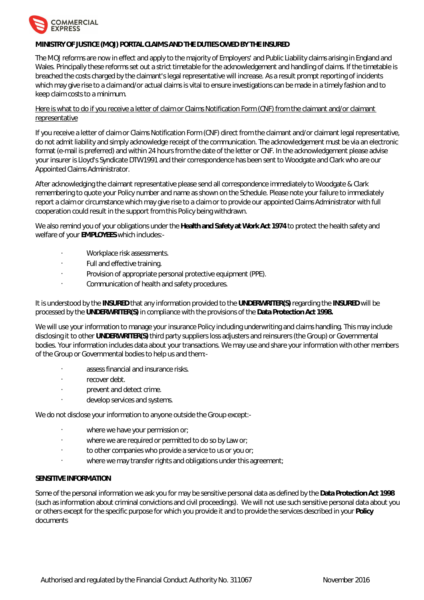

# **MINISTRY OF JUSTICE (MOJ) PORTAL CLAIMS AND THE DUTIES OWED BY THE INSURED**

The MOJ reforms are now in effect and apply to the majority of Employers' and Public Liability claims arising in England and Wales. Principally these reforms set out a strict timetable for the acknowledgement and handling of claims. If the timetable is breached the costs charged by the claimant's legal representative will increase. As a result prompt reporting of incidents which may give rise to a claim and/or actual claims is vital to ensure investigations can be made in a timely fashion and to keep claim costs to a minimum.

# Here is what to do if you receive a letter of claim or Claims Notification Form (CNF) from the claimant and/or claimant representative

If you receive a letter of claim or Claims Notification Form (CNF) direct from the claimant and/or claimant legal representative, do not admit liability and simply acknowledge receipt of the communication. The acknowledgement must be via an electronic format (e-mail is preferred) and within 24 hours from the date of the letter or CNF. In the acknowledgement please advise your insurer is Lloyd's Syndicate DTW1991 and their correspondence has been sent to Woodgate and Clark who are our Appointed Claims Administrator.

After acknowledging the claimant representative please send all correspondence immediately to Woodgate & Clark remembering to quote your Policy number and name as shown on the Schedule. Please note your failure to immediately report a claim or circumstance which may give rise to a claim or to provide our appointed Claims Administrator with full cooperation could result in the support from this Policy being withdrawn.

We also remind you of your obligations under the **Health and Safety at Work Act 1974** to protect the health safety and welfare of your **EMPLOYEES** which includes:-

- Workplace risk assessments.
- Full and effective training.
- Provision of appropriate personal protective equipment (PPE).
- Communication of health and safety procedures.

It is understood by the **INSURED** that any information provided to the **UNDERWRITER(S)** regarding the **INSURED** will be processed by the **UNDERWRITER(S)** in compliance with the provisions of the **Data Protection Act 1998.**

We will use your information to manage your insurance Policy including underwriting and claims handling. This may include disclosing it to other **UNDERWRITER(S)** third party suppliers loss adjusters and reinsurers (the Group) or Governmental bodies. Your information includes data about your transactions. We may use and share your information with other members of the Group or Governmental bodies to help us and them:-

- assess financial and insurance risks.
- recover debt.
- prevent and detect crime.
- develop services and systems.

We do not disclose your information to anyone outside the Group except:-

- where we have your permission or;
- where we are required or permitted to do so by Law or;
- to other companies who provide a service to us or you or;
- where we may transfer rights and obligations under this agreement;

# **SENSITIVE INFORMATION**

Some of the personal information we ask you for may be sensitive personal data as defined by the **Data Protection Act 1998** (such as information about criminal convictions and civil proceedings). We will not use such sensitive personal data about you or others except for the specific purpose for which you provide it and to provide the services described in your **Policy** documents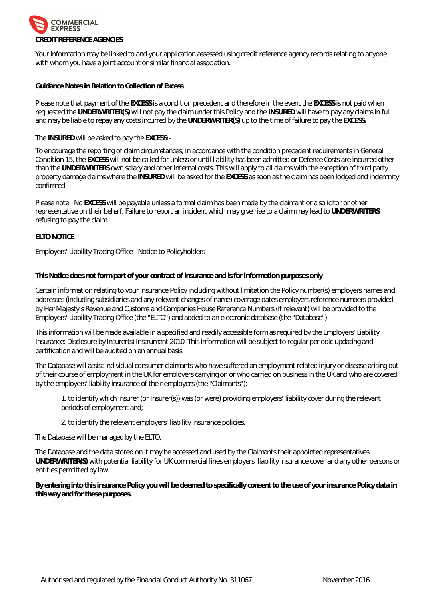

Your information may be linked to and your application assessed using credit reference agency records relating to anyone with whom you have a joint account or similar financial association.

**Guidance Notes in Relation to Collection of Excess**

Please note that payment of the **EXCESS** is a condition precedent and therefore in the event the **EXCESS** is not paid when requested the **UNDERWRITER(S)** will not pay the claim under this Policy and the **INSURED** will have to pay any claims in full and may be liable to repay any costs incurred by the **UNDERWRITER(S)** up to the time of failure to pay the **EXCESS**.

The **INSURED** will be asked to pay the **EXCESS**:-

To encourage the reporting of claim circumstances, in accordance with the condition precedent requirements in General Condition 15, the **EXCESS** will not be called for unless or until liability has been admitted or Defence Costs are incurred other than the **UNDERWRITERS** own salary and other internal costs. This will apply to all claims with the exception of third party property damage claims where the **INSURED** will be asked for the **EXCESS** as soon as the claim has been lodged and indemnity confirmed.

Please note: No **EXCESS** will be payable unless a formal claim has been made by the claimant or a solicitor or other representative on their behalf. Failure to report an incident which may give rise to a claim may lead to **UNDERWRITERS** refusing to pay the claim.

# **ELTO NOTICE**

#### Employers' Liability Tracing Office - Notice to Policyholders

**This Notice does not form part of your contract of insurance and is for information purposes only**

Certain information relating to your insurance Policy including without limitation the Policy number(s) employers names and addresses (including subsidiaries and any relevant changes of name) coverage dates employers reference numbers provided by Her Majesty's Revenue and Customs and Companies House Reference Numbers (if relevant) will be provided to the Employers' Liability Tracing Office (the "ELTO") and added to an electronic database (the "Database").

This information will be made available in a specified and readily accessible form as required by the Employers' Liability Insurance: Disclosure by Insurer(s) Instrument 2010. This information will be subject to regular periodic updating and certification and will be audited on an annual basis

The Database will assist individual consumer claimants who have suffered an employment related injury or disease arising out of their course of employment in the UK for employers carrying on or who carried on business in the UK and who are covered by the employers' liability insurance of their employers (the "Claimants"):-

1. to identify which Insurer (or Insurer(s)) was (or were) providing employers' liability cover during the relevant periods of employment and;

2. to identify the relevant employers' liability insurance policies.

The Database will be managed by the ELTO.

The Database and the data stored on it may be accessed and used by the Claimants their appointed representatives **UNDERWRITER(S)** with potential liability for UK commercial lines employers' liability insurance cover and any other persons or entities permitted by law.

**By entering into this insurance Policy you will be deemed to specifically consent to the use of your insurance Policy data in this way and for these purposes.**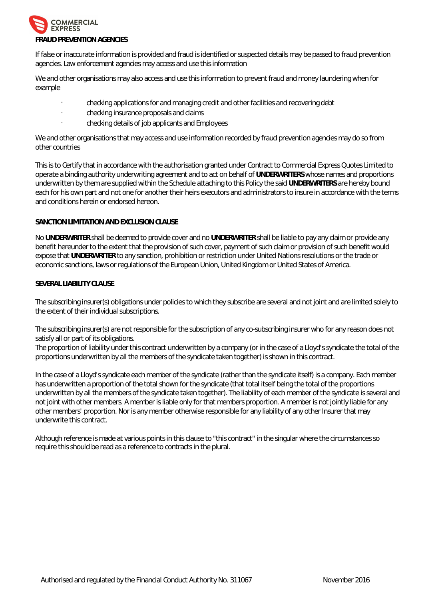

If false or inaccurate information is provided and fraud is identified or suspected details may be passed to fraud prevention agencies. Law enforcement agencies may access and use this information

We and other organisations may also access and use this information to prevent fraud and money laundering when for example

- checking applications for and managing credit and other facilities and recovering debt
- checking insurance proposals and claims
- checking details of job applicants and Employees

We and other organisations that may access and use information recorded by fraud prevention agencies may do so from other countries

This is to Certify that in accordance with the authorisation granted under Contract to Commercial Express Quotes Limited to operate a binding authority underwriting agreement and to act on behalf of **UNDERWRITERS** whose names and proportions underwritten by them are supplied within the Schedule attaching to this Policy the said **UNDERWRITERS** are hereby bound each for his own part and not one for another their heirs executors and administrators to insure in accordance with the terms and conditions herein or endorsed hereon.

# **SANCTION LIMITATION AND EXCLUSION CLAUSE**

No **UNDERWRITER** shall be deemed to provide cover and no **UNDERWRITER** shall be liable to pay any claim or provide any benefit hereunder to the extent that the provision of such cover, payment of such claim or provision of such benefit would expose that **UNDERWRITER** to any sanction, prohibition or restriction under United Nations resolutions or the trade or economic sanctions, laws or regulations of the European Union, United Kingdom or United States of America.

# **SEVERAL LIABILITY CLAUSE**

The subscribing insurer(s) obligations under policies to which they subscribe are several and not joint and are limited solely to the extent of their individual subscriptions.

The subscribing insurer(s) are not responsible for the subscription of any co-subscribing insurer who for any reason does not satisfy all or part of its obligations.

The proportion of liability under this contract underwritten by a company (or in the case of a Lloyd's syndicate the total of the proportions underwritten by all the members of the syndicate taken together) is shown in this contract.

In the case of a Lloyd's syndicate each member of the syndicate (rather than the syndicate itself) is a company. Each member has underwritten a proportion of the total shown for the syndicate (that total itself being the total of the proportions underwritten by all the members of the syndicate taken together). The liability of each member of the syndicate is several and not joint with other members. A member is liable only for that members proportion. A member is not jointly liable for any other members' proportion. Nor is any member otherwise responsible for any liability of any other Insurer that may underwrite this contract.

Although reference is made at various points in this clause to "this contract" in the singular where the circumstances so require this should be read as a reference to contracts in the plural.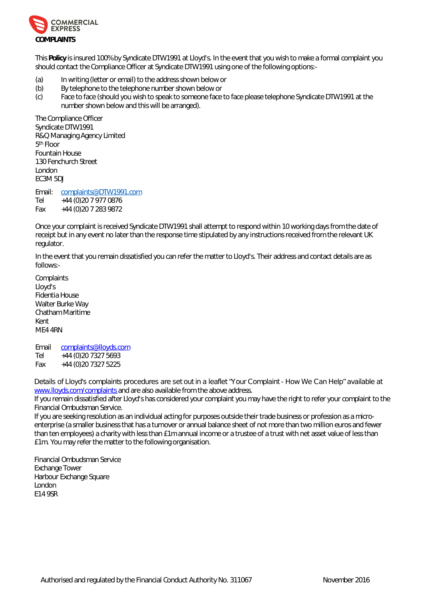

This **Policy** is insured 100% by Syndicate DTW1991 at Lloyd's. In the event that you wish to make a formal complaint you should contact the Compliance Officer at Syndicate DTW1991 using one of the following options:-

- (a) In writing (letter or email) to the address shown below or
- (b) By telephone to the telephone number shown below or
- (c) Face to face (should you wish to speak to someone face to face please telephone Syndicate DTW1991 at the number shown below and this will be arranged).

The Compliance Officer Syndicate DTW1991 R&Q Managing Agency Limited 5 th Floor Fountain House 130 Fenchurch Street London EC3M 5DJ

Email: [complaints@DTW1991.com](mailto:complaints@DTW1991.com) Tel +44 (0)20 7 977 0876 Fax +44 (0)20 7 283 9872

Once your complaint is received Syndicate DTW1991 shall attempt to respond within 10 working days from the date of receipt but in any event no later than the response time stipulated by any instructions received from the relevant UK regulator.

In the event that you remain dissatisfied you can refer the matter to Lloyd's. Their address and contact details are as follows:-

**Complaints** Lloyd's Fidentia House Walter Burke Way Chatham Maritime Kent ME4 4RN

Email [complaints@lloyds.com](mailto:complaints@lloyds.com) Tel +44 (0)20 7327 5693 Fax +44 (0)20 7327 5225

8YfU]gʻcZ@cnXfgʻWa dʻUjblgʻdfcWXi fYgʻUfYʻgYhci hjb U`YUZYh Mci f'7ca dʻUjbh! <ck K Y'7Ub <Yd Uj UjʻUVY Ul [www.lloyds.com/complaints a](www.lloyds.com/complaints)nd are also available from the above address.

If you remain dissatisfied after Lloyd's has considered your complaint you may have the right to refer your complaint to the Financial Ombudsman Service.

If you are seeking resolution as an individual acting for purposes outside their trade business or profession as a microenterprise (a smaller business that has a turnover or annual balance sheet of not more than two million euros and fewer than ten employees) a charity with less than £1m annual income or a trustee of a trust with net asset value of less than £1m. You may refer the matter to the following organisation.

Financial Ombudsman Service Exchange Tower Harbour Exchange Square London E14 9SR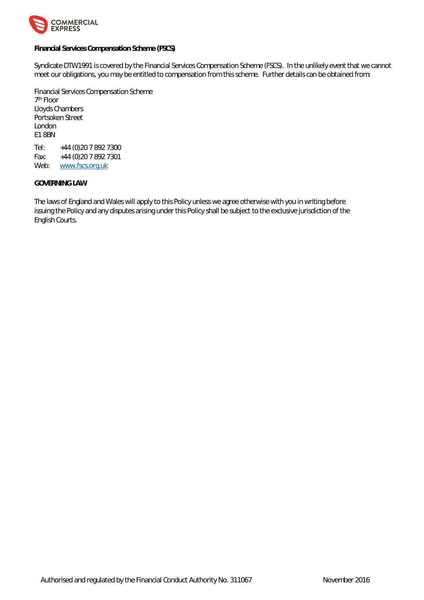

**Financial Services Compensation Scheme (FSCS)**

Syndicate DTW1991 is covered by the Financial Services Compensation Scheme (FSCS). In the unlikely event that we cannot meet our obligations, you may be entitled to compensation from this scheme. Further details can be obtained from:

Financial Services Compensation Scheme 7 th Floor Lloyds Chambers Portsoken Street London E1 8BN Tel: +44 (0)20 7 892 7300

Fax: +44 (0)20 7 892 7301 Web: <www.fscs.org.uk>

# **GOVERNING LAW**

The laws of England and Wales will apply to this Policy unless we agree otherwise with you in writing before issuing the Policy and any disputes arising under this Policy shall be subject to the exclusive jurisdiction of the English Courts.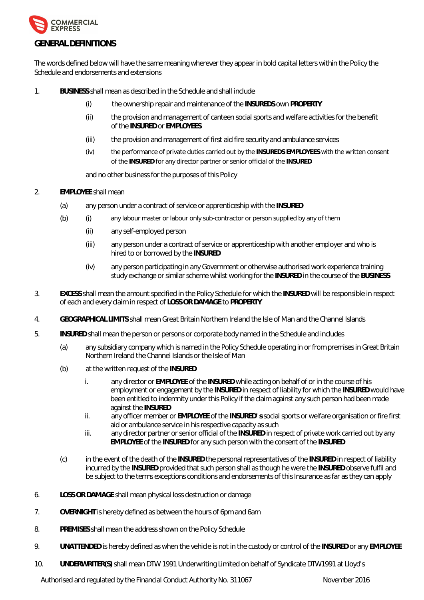

The words defined below will have the same meaning wherever they appear in bold capital letters within the Policy the Schedule and endorsements and extensions

- 1. **BUSINESS** shall mean as described in the Schedule and shall include
	- (i) the ownership repair and maintenance of the **INSUREDS** own **PROPERTY**
	- (ii) the provision and management of canteen social sports and welfare activities for the benefit of the **INSURED** or **EMPLOYEES**
	- (iii) the provision and management of first aid fire security and ambulance services
	- (iv) the performance of private duties carried out by the **INSUREDS EMPLOYEES** with the written consent of the **INSURED** for any director partner or senior official of the **INSURED**

and no other business for the purposes of this Policy

- 2. **EMPLOYEE** shall mean
	- (a) any person under a contract of service or apprenticeship with the **INSURED**
	- (b) (i) any labour master or labour only sub-contractor or person supplied by any of them
		- (ii) any self-employed person
		- (iii) any person under a contract of service or apprenticeship with another employer and who is hired to or borrowed by the **INSURED**
		- (iv) any person participating in any Government or otherwise authorised work experience training study exchange or similar scheme whilst working for the **INSURED** in the course of the **BUSINESS**
- 3. **EXCESS** shall mean the amount specified in the Policy Schedule for which the **INSURED** will be responsible in respect of each and every claim in respect of **LOSS OR DAMAGE** to **PROPERTY**
- 4. **GEOGRAPHICAL LIMITS** shall mean Great Britain Northern Ireland the Isle of Man and the Channel Islands
- 5. **INSURED** shall mean the person or persons or corporate body named in the Schedule and includes
	- (a) any subsidiary company which is named in the Policy Schedule operating in or from premises in Great Britain Northern Ireland the Channel Islands or the Isle of Man
	- (b) at the written request of the **INSURED**
		- i. any director or **EMPLOYEE** of the **INSURED** while acting on behalf of or in the course of his employment or engagement by the **INSURED** in respect of liability for which the **INSURED** would have been entitled to indemnity under this Policy if the claim against any such person had been made against the **INSURED**
		- ii. any officer member or **EMPLOYEE** of the **INSURED' s** social sports or welfare organisation or fire first aid or ambulance service in his respective capacity as such
		- iii. any director partner or senior official of the **INSURED** in respect of private work carried out by any **EMPLOYEE** of the **INSURED** for any such person with the consent of the **INSURED**
	- (c) in the event of the death of the **INSURED** the personal representatives of the **INSURED** in respect of liability incurred by the **INSURED** provided that such person shall as though he were the **INSURED** observe fulfil and be subject to the terms exceptions conditions and endorsements of this Insurance as far as they can apply
- 6. **LOSS OR DAMAGE** shall mean physical loss destruction or damage
- 7. **OVERNIGHT** is hereby defined as between the hours of 6pm and 6am
- 8. **PREMISES** shall mean the address shown on the Policy Schedule
- 9. **UNATTENDED** is hereby defined as when the vehicle is not in the custody or control of the **INSURED** or any **EMPLOYEE**
- 10. **UNDERWRITER(S)** shall mean DTW 1991 Underwriting Limited on behalf of Syndicate DTW1991 at Lloyd's

Authorised and regulated by the Financial Conduct Authority No. 311067 November 2016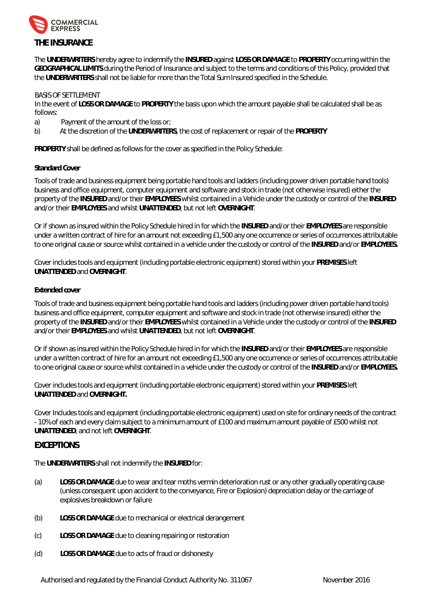

The **UNDERWRITERS** hereby agree to indemnify the **INSURED** against **LOSS OR DAMAGE** to **PROPERTY** occurring within the **GEOGRAPHICAL LIMITS** during the Period of Insurance and subject to the terms and conditions of this Policy, provided that the **UNDERWRITERS** shall not be liable for more than the Total Sum Insured specified in the Schedule.

# BASIS OF SETTLEMENT

In the event of **LOSS OR DAMAGE** to **PROPERTY** the basis upon which the amount payable shall be calculated shall be as follows:

- a) Payment of the amount of the loss or;
- b) At the discretion of the **UNDERWRITERS**, the cost of replacement or repair of the **PROPERTY**

**PROPERTY** shall be defined as follows for the cover as specified in the Policy Schedule:

# **Standard Cover**

Tools of trade and business equipment being portable hand tools and ladders (including power driven portable hand tools) business and office equipment, computer equipment and software and stock in trade (not otherwise insured) either the property of the **INSURED** and/or their **EMPLOYEES** whilst contained in a Vehicle under the custody or control of the **INSURED** and/or their **EMPLOYEES** and whilst **UNATTENDED**, but not left **OVERNIGHT**.

Or if shown as insured within the Policy Schedule hired in for which the **INSURED** and/or their **EMPLOYEES** are responsible under a written contract of hire for an amount not exceeding £1,500 any one occurrence or series of occurrences attributable to one original cause or source whilst contained in a vehicle under the custody or control of the **INSURED** and/or **EMPLOYEES.**

Cover includes tools and equipment (including portable electronic equipment) stored within your **PREMISES** left **UNATTENDED** and **OVERNIGHT**.

# **Extended cover**

Tools of trade and business equipment being portable hand tools and ladders (including power driven portable hand tools) business and office equipment, computer equipment and software and stock in trade (not otherwise insured) either the property of the **INSURED** and/or their **EMPLOYEES** whilst contained in a Vehicle under the custody or control of the **INSURED** and/or their **EMPLOYEES** and whilst **UNATTENDED**, but not left **OVERNIGHT**.

Or if shown as insured within the Policy Schedule hired in for which the **INSURED** and/or their **EMPLOYEES** are responsible under a written contract of hire for an amount not exceeding £1,500 any one occurrence or series of occurrences attributable to one original cause or source whilst contained in a vehicle under the custody or control of the **INSURED** and/or **EMPLOYEES.**

Cover includes tools and equipment (including portable electronic equipment) stored within your **PREMISES** left **UNATTENDED** and **OVERNIGHT.**

Cover Includes tools and equipment (including portable electronic equipment) used on site for ordinary needs of the contract - 10% of each and every claim subject to a minimum amount of £100 and maximum amount payable of £500 whilst not **UNATTENDED**, and not left **OVERNIGHT**.

# **EXCEPTIONS**

The **UNDERWRITERS** shall not indemnify the **INSURED** for:

- (a) **LOSS OR DAMAGE** due to wear and tear moths vermin deterioration rust or any other gradually operating cause (unless consequent upon accident to the conveyance, Fire or Explosion) depreciation delay or the carriage of explosives breakdown or failure
- (b) **LOSS OR DAMAGE** due to mechanical or electrical derangement
- (c) **LOSS OR DAMAGE** due to cleaning repairing or restoration
- (d) **LOSS OR DAMAGE** due to acts of fraud or dishonesty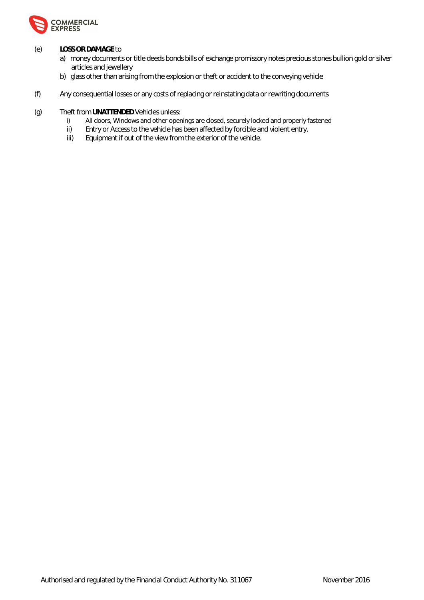

# (e) **LOSS OR DAMAGE** to

- a) money documents or title deeds bonds bills of exchange promissory notes precious stones bullion gold or silver articles and jewellery
- b) glass other than arising from the explosion or theft or accident to the conveying vehicle
- (f) Any consequential losses or any costs of replacing or reinstating data or rewriting documents
- (g) Theft from UNATTENDED Vehicles unless:<br>i) All doors, Windows and other oper
	- All doors, Windows and other openings are closed, securely locked and properly fastened
	- ii) Entry or Access to the vehicle has been affected by forcible and violent entry.<br>iii) Equipment if out of the view from the exterior of the vehicle.
	- Equipment if out of the view from the exterior of the vehicle.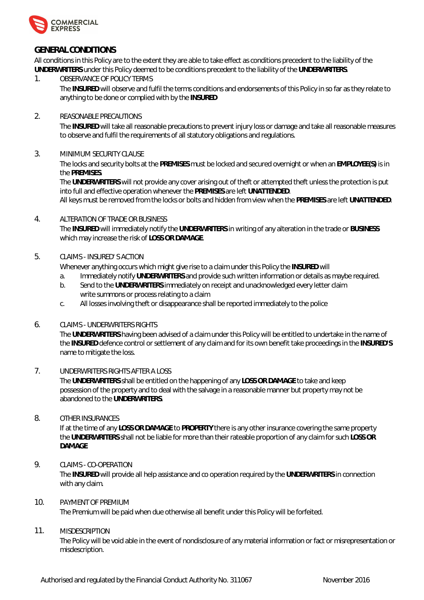

# **GENERAL CONDITIONS**

All conditions in this Policy are to the extent they are able to take effect as conditions precedent to the liability of the **UNDERWRITERS** under this Policy deemed to be conditions precedent to the liability of the **UNDERWRITERS**.

1. OBSERVANCE OF POLICY TERMS

The **INSURED** will observe and fulfil the terms conditions and endorsements of this Policy in so far as they relate to anything to be done or complied with by the **INSURED**

# 2. REASONABLE PRECAUTIONS

The **INSURED** will take all reasonable precautions to prevent injury loss or damage and take all reasonable measures to observe and fulfil the requirements of all statutory obligations and regulations.

# 3. MINIMUM SECURITY CLAUSE

The locks and security bolts at the **PREMISES** must be locked and secured overnight or when an **EMPLOYEE(S)** is in the **PREMISES**.

The **UNDERWRITERS** will not provide any cover arising out of theft or attempted theft unless the protection is put into full and effective operation whenever the **PREMISES** are left **UNATTENDED**.

All keys must be removed from the locks or bolts and hidden from view when the **PREMISES** are left **UNATTENDED**.

# 4. ALTERATION OF TRADE OR BUSINESS

The **INSURED** will immediately notify the **UNDERWRITERS** in writing of any alteration in the trade or **BUSINESS** which may increase the risk of **LOSS OR DAMAGE**.

# 5. CLAIMS - INSURED' S ACTION

Whenever anything occurs which might give rise to a claim under this Policy the **INSURED** will

- a. Immediately notify **UNDERWRITERS** and provide such written information or details as maybe required.
- b. Send to the **UNDERWRITERS** immediately on receipt and unacknowledged every letter claim write summons or process relating to a claim
- c. All losses involving theft or disappearance shall be reported immediately to the police

# 6. CLAIMS - UNDERWRITERS RIGHTS

The **UNDERWRITERS** having been advised of a claim under this Policy will be entitled to undertake in the name of the **INSURED** defence control or settlement of any claim and for its own benefit take proceedings in the **INSURED'S**  name to mitigate the loss.

# 7. UNDERWRITERS RIGHTS AFTER A LOSS

The **UNDERWRITERS** shall be entitled on the happening of any **LOSS OR DAMAGE** to take and keep possession of the property and to deal with the salvage in a reasonable manner but property may not be abandoned to the **UNDERWRITERS**.

# 8. OTHER INSURANCES

If at the time of any **LOSS OR DAMAGE** to **PROPERTY** there is any other insurance covering the same property the **UNDERWRITERS** shall not be liable for more than their rateable proportion of any claim for such **LOSS OR DAMAGE**

# 9. CLAIMS - CO-OPERATION

The **INSURED** will provide all help assistance and co operation required by the **UNDERWRITERS** in connection with any claim.

# 10. PAYMENT OF PREMIUM

The Premium will be paid when due otherwise all benefit under this Policy will be forfeited.

# 11. MISDESCRIPTION

The Policy will be void able in the event of nondisclosure of any material information or fact or misrepresentation or misdescription.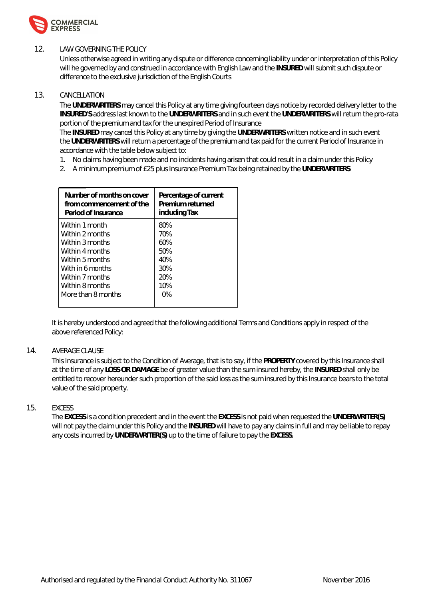

# 12. LAW GOVERNING THE POLICY

Unless otherwise agreed in writing any dispute or difference concerning liability under or interpretation of this Policy will he governed by and construed in accordance with English Law and the **INSURED** will submit such dispute or difference to the exclusive jurisdiction of the English Courts

# 13. CANCELLATION

The **UNDERWRITERS** may cancel this Policy at any time giving fourteen days notice by recorded delivery letter to the **INSURED'S** address last known to the **UNDERWRITERS** and in such event the **UNDERWRITERS** will return the pro-rata portion of the premium and tax for the unexpired Period of Insurance

The **INSURED** may cancel this Policy at any time by giving the **UNDERWRITERS** written notice and in such event the **UNDERWRITERS** will return a percentage of the premium and tax paid for the current Period of Insurance in accordance with the table below subject to:

- 1. No claims having been made and no incidents having arisen that could result in a claim under this Policy
- 2. A minimum premium of £25 plus Insurance Premium Tax being retained by the **UNDERWRITERS**

| Number of months on cover | Percentage of current |
|---------------------------|-----------------------|
| from commencement of the  | Premium returned      |
| Period of Insurance       | including Tax         |
| Within 1 month            | 80%                   |
| Within 2 months           | 70%                   |
| Within 3 months           | 60%                   |
| Within 4 months           | 50%                   |
| Within 5 months           | 40%                   |
| With in 6 months          | 30%                   |
| Within 7 months           | 20%                   |
| Within 8 months           | 10%                   |
| More than 8 months        | 0%                    |

It is hereby understood and agreed that the following additional Terms and Conditions apply in respect of the above referenced Policy:

# 14. AVERAGE CLAUSE

This Insurance is subject to the Condition of Average, that is to say, if the **PROPERTY** covered by this Insurance shall at the time of any **LOSS OR DAMAGE** be of greater value than the sum insured hereby, the **INSURED** shall only be entitled to recover hereunder such proportion of the said loss as the sum insured by this Insurance bears to the total value of the said property.

# 15. EXCESS

The **EXCESS** is a condition precedent and in the event the **EXCESS** is not paid when requested the **UNDERWRITER(S)** will not pay the claim under this Policy and the **INSURED** will have to pay any claims in full and may be liable to repay any costs incurred by **UNDERWRITER(S)** up to the time of failure to pay the **EXCESS**.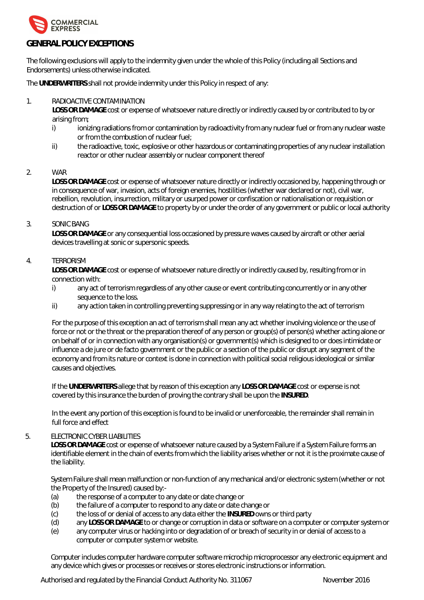

# **GENERAL POLICY EXCEPTIONS**

The following exclusions will apply to the indemnity given under the whole of this Policy (including all Sections and Endorsements) unless otherwise indicated.

The **UNDERWRITERS** shall not provide indemnity under this Policy in respect of any:

# 1. RADIOACTIVE CONTAMINATION

**LOSS OR DAMAGE** cost or expense of whatsoever nature directly or indirectly caused by or contributed to by or arising from;

- i) ionizing radiations from or contamination by radioactivity from any nuclear fuel or from any nuclear waste or from the combustion of nuclear fuel;
- ii) the radioactive, toxic, explosive or other hazardous or contaminating properties of any nuclear installation reactor or other nuclear assembly or nuclear component thereof

# 2. WAR

**LOSS OR DAMAGE** cost or expense of whatsoever nature directly or indirectly occasioned by, happening through or in consequence of war, invasion, acts of foreign enemies, hostilities (whether war declared or not), civil war, rebellion, revolution, insurrection, military or usurped power or confiscation or nationalisation or requisition or destruction of or **LOSS OR DAMAGE** to property by or under the order of any government or public or local authority

# 3. SONIC BANG

**LOSS OR DAMAGE** or any consequential loss occasioned by pressure waves caused by aircraft or other aerial devices travelling at sonic or supersonic speeds.

# 4. TERRORISM

**LOSS OR DAMAGE** cost or expense of whatsoever nature directly or indirectly caused by, resulting from or in connection with:

- i) any act of terrorism regardless of any other cause or event contributing concurrently or in any other sequence to the loss.
- ii) any action taken in controlling preventing suppressing or in any way relating to the act of terrorism

For the purpose of this exception an act of terrorism shall mean any act whether involving violence or the use of force or not or the threat or the preparation thereof of any person or group(s) of person(s) whether acting alone or on behalf of or in connection with any organisation(s) or government(s) which is designed to or does intimidate or influence a de jure or de facto government or the public or a section of the public or disrupt any segment of the economy and from its nature or context is done in connection with political social religious ideological or similar causes and objectives.

If the **UNDERWRITERS** allege that by reason of this exception any **LOSS OR DAMAGE** cost or expense is not covered by this insurance the burden of proving the contrary shall be upon the **INSURED**.

In the event any portion of this exception is found to be invalid or unenforceable, the remainder shall remain in full force and effect

#### 5. ELECTRONIC CYBER LIABILITIES

**LOSS OR DAMAGE** cost or expense of whatsoever nature caused by a System Failure if a System Failure forms an identifiable element in the chain of events from which the liability arises whether or not it is the proximate cause of the liability.

System Failure shall mean malfunction or non-function of any mechanical and/or electronic system (whether or not the Property of the Insured) caused by:-

- (a) the response of a computer to any date or date change or
- (b) the failure of a computer to respond to any date or date change or
- (c) the loss of or denial of access to any data either the **INSURED** owns or third party
- (d) any **LOSS OR DAMAGE** to or change or corruption in data or software on a computer or computer system or
- (e) any computer virus or hacking into or degradation of or breach of security in or denial of access to a computer or computer system or website.

Computer includes computer hardware computer software microchip microprocessor any electronic equipment and any device which gives or processes or receives or stores electronic instructions or information.

Authorised and regulated by the Financial Conduct Authority No. 311067 November 2016